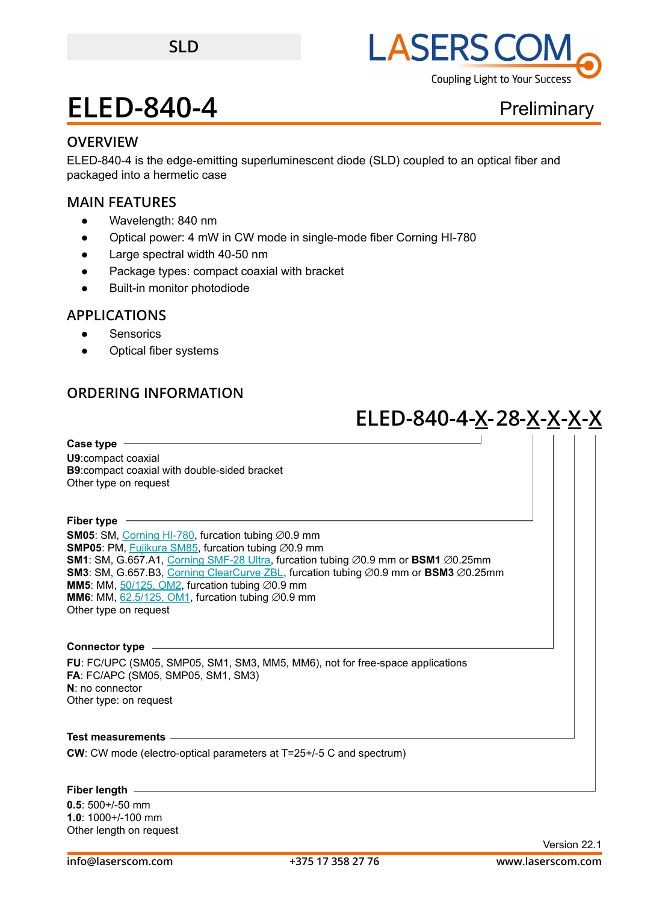

## **OVERVIEW**

ELED-840-4 is the edge-emitting superluminescent diode (SLD) coupled to an optical fiber and packaged into a hermetic case

### **MAIN FEATURES**

- Wavelength: 840 nm
- Optical power: 4 mW in CW mode in single-mode fiber Corning HI-780
- Large spectral width 40-50 nm
- Package types: compact coaxial with bracket
- **Built-in monitor photodiode**

## **APPLICATIONS**

- Sensorics
- Optical fiber systems

## **ORDERING INFORMATION**

# **ELED-840-4-X-28-X-X-X-X**

**Case type U9**:compact coaxial **B9**:compact coaxial with double-sided bracket Other type on request

**Fiber type**

**SM05**: SM, [Corning HI-780,](https://drive.google.com/file/d/1e1RpSdC95md9Gf8HSWLLWHuukuKKrCjU/view?usp=sharing) furcation tubing ∅0.9 mm SMP05: PM, **Fujikura SM85**, furcation tubing ∅0.9 mm **SM1**: SM, G.657.A1, [Corning SMF-28 Ultra](https://drive.google.com/file/d/1JeMdVLHUIGFdzKdBnzaeOmjsa81S284f/view?usp=sharing), furcation tubing ∅0.9 mm or BSM1 ∅0.25mm **SM3**: SM, G.657.B3, [Corning ClearCurve ZBL](https://drive.google.com/file/d/1BnScs4F0ApGayHF4MQJvm8phLaEPHUV0/view?usp=sharing), furcation tubing ⌀0.9 mm or **BSM3** ⌀0.25mm **MM5**: MM,  $50/125$ , OM2, furcation tubing  $\emptyset$ 0.9 mm **MM6**: MM,  $62.5/125$ , OM1, furcation tubing  $\varnothing$ 0.9 mm Other type on request

#### **Connector type**

**FU**: FC/UPC (SM05, SMP05, SM1, SM3, MM5, MM6), not for free-space applications **FA**: FC/APC (SM05, SMP05, SM1, SM3) **N**: no connector Other type: on request

**Test measurements**

**CW**: CW mode (electro-optical parameters at T=25+/-5 C and spectrum)

#### **Fiber length**

**0.5**: 500+/-50 mm **1.0**: 1000+/-100 mm Other length on request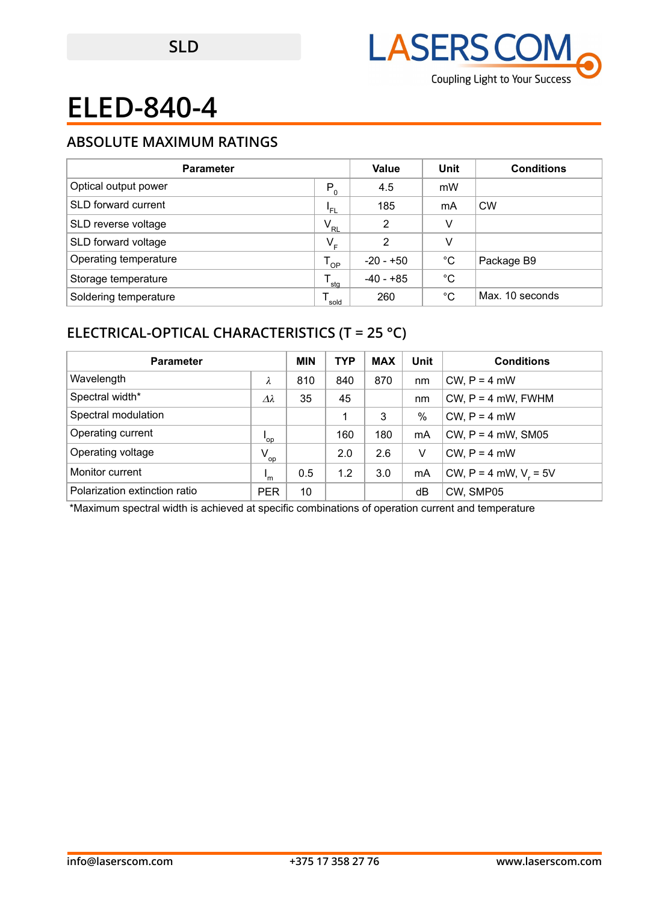

## **ABSOLUTE MAXIMUM RATINGS**

| <b>Parameter</b>      |                  | Value          | Unit        | <b>Conditions</b> |
|-----------------------|------------------|----------------|-------------|-------------------|
| Optical output power  | $P_0$            | 4.5            | mW          |                   |
| SLD forward current   | 'FL              | 185            | mA          | <b>CW</b>         |
| SLD reverse voltage   | $V_{\rm RL}$     | $\overline{2}$ | V           |                   |
| SLD forward voltage   | $V_{E}$          | 2              | V           |                   |
| Operating temperature | OP               | -20 - +50      | $^{\circ}C$ | Package B9        |
| Storage temperature   | $^{\bullet}$ stg | $-40 - +85$    | °C          |                   |
| Soldering temperature | sold             | 260            | °C          | Max. 10 seconds   |

## **ELECTRICAL-OPTICAL CHARACTERISTICS (T = 25 °C)**

| <b>Parameter</b>              |                           | <b>MIN</b> | <b>TYP</b> | <b>MAX</b> | Unit | <b>Conditions</b>          |
|-------------------------------|---------------------------|------------|------------|------------|------|----------------------------|
| Wavelength                    | λ                         | 810        | 840        | 870        | nm   | $CW, P = 4$ mW             |
| Spectral width*               | $\varDelta\lambda$        | 35         | 45         |            | nm   | $CW$ , $P = 4$ mW, FWHM    |
| Spectral modulation           |                           |            |            | 3          | $\%$ | $CW, P = 4$ mW             |
| Operating current             | 'op                       |            | 160        | 180        | mA   | CW, $P = 4$ mW, SM05       |
| Operating voltage             | $V_{op}$                  |            | 2.0        | 2.6        | V    | $CW, P = 4$ mW             |
| Monitor current               | $\mathsf{I}_{\mathsf{m}}$ | 0.5        | 1.2        | 3.0        | mA   | CW, $P = 4$ mW, $V_r = 5V$ |
| Polarization extinction ratio | <b>PER</b>                | 10         |            |            | dB   | CW. SMP05                  |

\*Maximum spectral width is achieved at specific combinations of operation current and temperature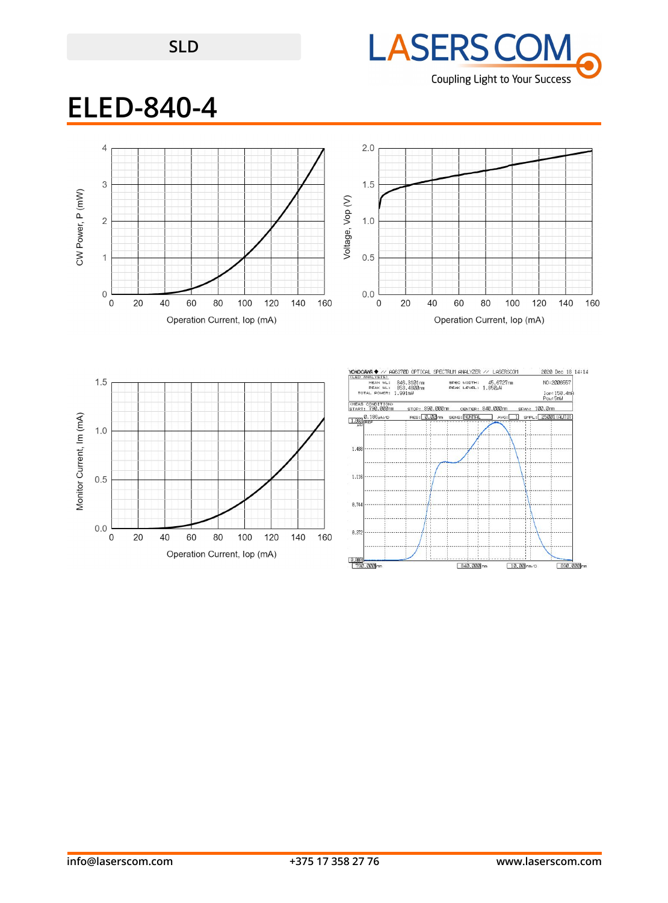## **SLD**



## **ELED-840-4**

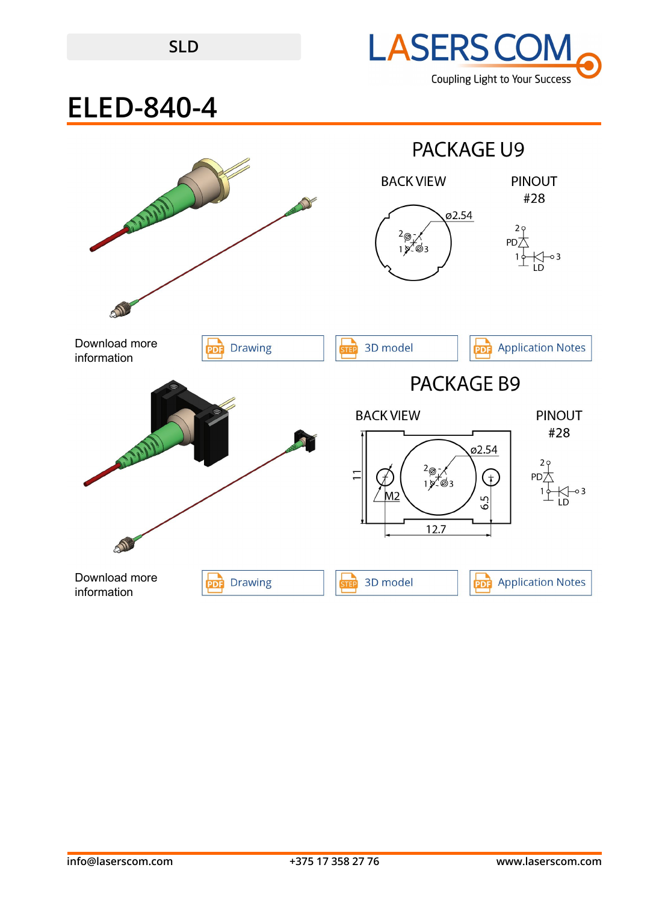